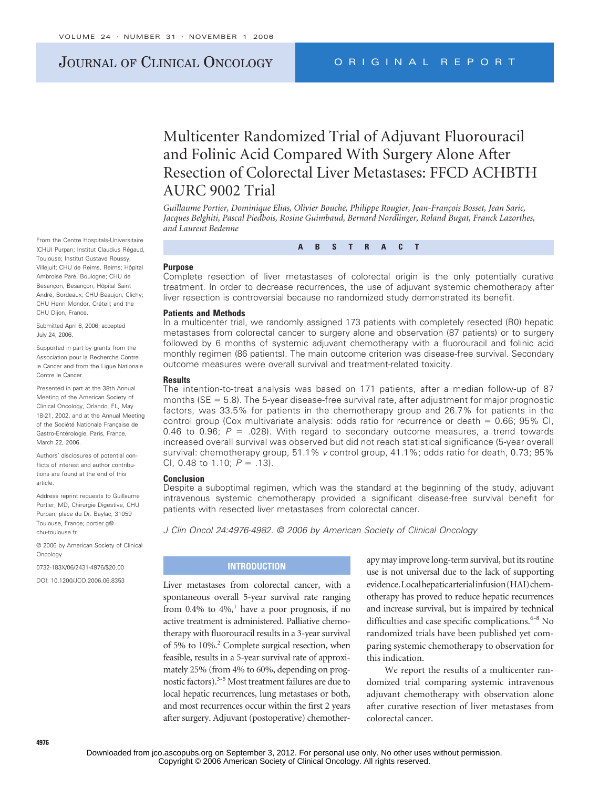# JOURNAL OF CLINICAL ONCOLOGY ORIGINAL REPORT

# Multicenter Randomized Trial of Adjuvant Fluorouracil and Folinic Acid Compared With Surgery Alone After Resection of Colorectal Liver Metastases: FFCD ACHBTH AURC 9002 Trial

Guillaume Portier, Dominique Elias, Olivier Bouche, Philippe Rougier, Jean-François Bosset, Jean Saric, *Jacques Belghiti, Pascal Piedbois, Rosine Guimbaud, Bernard Nordlinger, Roland Bugat, Franck Lazorthes, and Laurent Bedenne*

**ABSTRACT**

#### **Purpose**

Complete resection of liver metastases of colorectal origin is the only potentially curative treatment. In order to decrease recurrences, the use of adjuvant systemic chemotherapy after liver resection is controversial because no randomized study demonstrated its benefit.

#### **Patients and Methods**

In a multicenter trial, we randomly assigned 173 patients with completely resected (R0) hepatic metastases from colorectal cancer to surgery alone and observation (87 patients) or to surgery followed by 6 months of systemic adjuvant chemotherapy with a fluorouracil and folinic acid monthly regimen (86 patients). The main outcome criterion was disease-free survival. Secondary outcome measures were overall survival and treatment-related toxicity.

#### **Results**

The intention-to-treat analysis was based on 171 patients, after a median follow-up of 87 months ( $SE = 5.8$ ). The 5-year disease-free survival rate, after adjustment for major prognostic factors, was 33.5% for patients in the chemotherapy group and 26.7% for patients in the control group (Cox multivariate analysis: odds ratio for recurrence or death  $= 0.66$ ; 95% Cl, 0.46 to 0.96;  $P = 0.028$ ). With regard to secondary outcome measures, a trend towards increased overall survival was observed but did not reach statistical significance (5-year overall survival: chemotherapy group, 51.1% *v* control group, 41.1%; odds ratio for death, 0.73; 95% Cl, 0.48 to 1.10;  $P = .13$ ).

#### **Conclusion**

Despite a suboptimal regimen, which was the standard at the beginning of the study, adjuvant intravenous systemic chemotherapy provided a significant disease-free survival benefit for patients with resected liver metastases from colorectal cancer.

*J Clin Oncol 24:4976-4982. © 2006 by American Society of Clinical Oncology*

## **INTRODUCTION**

Liver metastases from colorectal cancer, with a spontaneous overall 5-year survival rate ranging from 0.4% to  $4\%$ , have a poor prognosis, if no active treatment is administered. Palliative chemotherapy with fluorouracil results in a 3-year survival of 5% to 10%.<sup>2</sup> Complete surgical resection, when feasible, results in a 5-year survival rate of approximately 25% (from 4% to 60%, depending on prognostic factors).3-5 Most treatment failures are due to local hepatic recurrences, lung metastases or both, and most recurrences occur within the first 2 years after surgery. Adjuvant (postoperative) chemotherapy may improve long-term survival, but its routine use is not universal due to the lack of supporting evidence. Localhepatic arterial infusion (HAI) chemotherapy has proved to reduce hepatic recurrences and increase survival, but is impaired by technical difficulties and case specific complications.<sup>6-8</sup> No randomized trials have been published yet comparing systemic chemotherapy to observation for this indication.

We report the results of a multicenter randomized trial comparing systemic intravenous adjuvant chemotherapy with observation alone after curative resection of liver metastases from colorectal cancer.

From the Centre Hospitals-Universitaire (CHU) Purpan; Institut Claudius Régaud, Toulouse; Institut Gustave Roussy, Villejuif; CHU de Reims, Reims; Hôpital Ambroise Paré, Boulogne; CHU de Besancon, Besancon; Hôpital Saint André, Bordeaux; CHU Beaujon, Clichy; CHU Henri Mondor, Créteil; and the CHU Dijon, France.

Submitted April 6, 2006; accepted July 24, 2006.

Supported in part by grants from the Association pour la Recherche Contre le Cancer and from the Ligue Nationale Contre le Cancer.

Presented in part at the 38th Annual Meeting of the American Society of Clinical Oncology, Orlando, FL, May 18-21, 2002, and at the Annual Meeting of the Société Nationale Francaise de Gastro-Entérologie, Paris, France, March 22, 2006

Authors' disclosures of potential conflicts of interest and author contributions are found at the end of this article.

Address reprint requests to Guillaume Portier, MD, Chirurgie Digestive, CHU Purpan, place du Dr. Baylac, 31059 Toulouse, France; portier.g@ chu-toulouse.fr.

© 2006 by American Society of Clinical **Oncology** 

0732-183X/06/2431-4976/\$20.00

DOI: 10.1200/JCO.2006.06.8353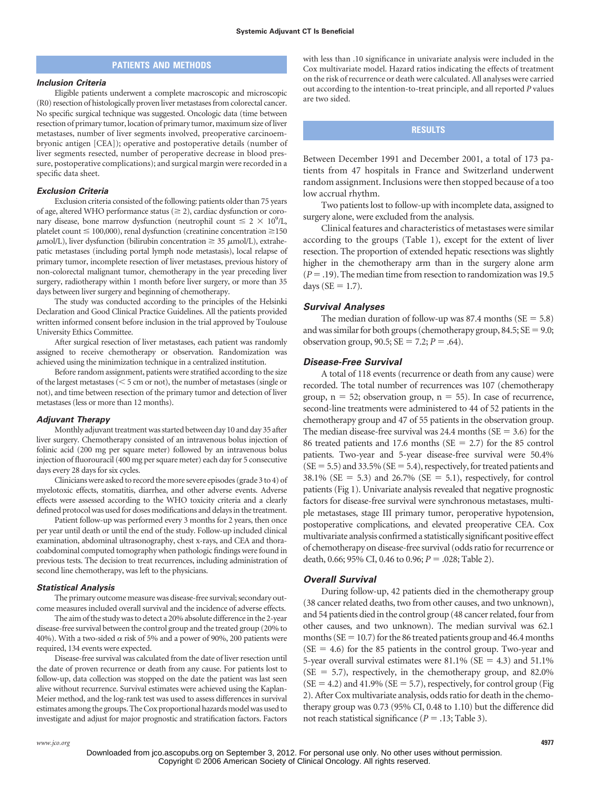## **PATIENTS AND METHODS**

#### *Inclusion Criteria*

Eligible patients underwent a complete macroscopic and microscopic (R0) resection of histologically proven liver metastases from colorectal cancer. No specific surgical technique was suggested. Oncologic data (time between resection of primary tumor, location of primary tumor, maximum size of liver metastases, number of liver segments involved, preoperative carcinoembryonic antigen [CEA]); operative and postoperative details (number of liver segments resected, number of peroperative decrease in blood pressure, postoperative complications); and surgical margin were recorded in a specific data sheet.

#### *Exclusion Criteria*

Exclusion criteria consisted of the following: patients older than 75 years of age, altered WHO performance status ( $\geq$  2), cardiac dysfunction or coronary disease, bone marrow dysfunction (neutrophil count  $\leq 2 \times 10^9$ /L, platelet count  $\leq 100,000$ ), renal dysfunction (creatinine concentration  $\geq 150$  $\mu$ mol/L), liver dysfunction (bilirubin concentration  $\geq$  35  $\mu$ mol/L), extrahepatic metastases (including portal lymph node metastasis), local relapse of primary tumor, incomplete resection of liver metastases, previous history of non-colorectal malignant tumor, chemotherapy in the year preceding liver surgery, radiotherapy within 1 month before liver surgery, or more than 35 days between liver surgery and beginning of chemotherapy.

The study was conducted according to the principles of the Helsinki Declaration and Good Clinical Practice Guidelines. All the patients provided written informed consent before inclusion in the trial approved by Toulouse University Ethics Committee.

After surgical resection of liver metastases, each patient was randomly assigned to receive chemotherapy or observation. Randomization was achieved using the minimization technique in a centralized institution.

Before random assignment, patients were stratified according to the size of the largest metastases ( $<$  5 cm or not), the number of metastases (single or not), and time between resection of the primary tumor and detection of liver metastases (less or more than 12 months).

#### *Adjuvant Therapy*

Monthly adjuvant treatment was started between day 10 and day 35 after liver surgery. Chemotherapy consisted of an intravenous bolus injection of folinic acid (200 mg per square meter) followed by an intravenous bolus injection of fluorouracil (400 mg per square meter) each day for 5 consecutive days every 28 days for six cycles.

Clinicians were asked to record themore severe episodes (grade 3 to 4) of myelotoxic effects, stomatitis, diarrhea, and other adverse events. Adverse effects were assessed according to the WHO toxicity criteria and a clearly defined protocol was used for doses modifications and delays in the treatment.

Patient follow-up was performed every 3 months for 2 years, then once per year until death or until the end of the study. Follow-up included clinical examination, abdominal ultrasonography, chest x-rays, and CEA and thoracoabdominal computed tomography when pathologic findings were found in previous tests. The decision to treat recurrences, including administration of second line chemotherapy, was left to the physicians.

#### *Statistical Analysis*

The primary outcome measure was disease-free survival; secondary outcome measures included overall survival and the incidence of adverse effects.

The aim of the study was to detect a 20% absolute difference in the 2-year disease-free survival between the control group and the treated group (20% to 40%). With a two-sided  $\alpha$  risk of 5% and a power of 90%, 200 patients were required, 134 events were expected.

Disease-free survival was calculated from the date of liver resection until the date of proven recurrence or death from any cause. For patients lost to follow-up, data collection was stopped on the date the patient was last seen alive without recurrence. Survival estimates were achieved using the Kaplan-Meier method, and the log-rank test was used to assess differences in survival estimates among the groups. The Cox proportional hazards model was used to investigate and adjust for major prognostic and stratification factors. Factors with less than .10 significance in univariate analysis were included in the Cox multivariate model. Hazard ratios indicating the effects of treatment on the risk of recurrence or death were calculated. All analyses were carried out according to the intention-to-treat principle, and all reported *P* values are two sided.

## **RESULTS**

Between December 1991 and December 2001, a total of 173 patients from 47 hospitals in France and Switzerland underwent random assignment. Inclusions were then stopped because of a too low accrual rhythm.

Two patients lost to follow-up with incomplete data, assigned to surgery alone, were excluded from the analysis.

Clinical features and characteristics of metastases were similar according to the groups (Table 1), except for the extent of liver resection. The proportion of extended hepatic resections was slightly higher in the chemotherapy arm than in the surgery alone arm  $(P = .19)$ . The median time from resection to randomization was 19.5 days ( $SE = 1.7$ ).

## *Survival Analyses*

The median duration of follow-up was 87.4 months ( $SE = 5.8$ ) and was similar for both groups (chemotherapy group,  $84.5$ ;  $SE = 9.0$ ; observation group,  $90.5$ ;  $SE = 7.2$ ;  $P = .64$ ).

### *Disease-Free Survival*

A total of 118 events (recurrence or death from any cause) were recorded. The total number of recurrences was 107 (chemotherapy group,  $n = 52$ ; observation group,  $n = 55$ ). In case of recurrence, second-line treatments were administered to 44 of 52 patients in the chemotherapy group and 47 of 55 patients in the observation group. The median disease-free survival was 24.4 months ( $SE = 3.6$ ) for the 86 treated patients and 17.6 months ( $SE = 2.7$ ) for the 85 control patients. Two-year and 5-year disease-free survival were 50.4%  $(SE = 5.5)$  and 33.5%  $(SE = 5.4)$ , respectively, for treated patients and  $38.1\%$  (SE = 5.3) and  $26.7\%$  (SE = 5.1), respectively, for control patients (Fig 1). Univariate analysis revealed that negative prognostic factors for disease-free survival were synchronous metastases, multiple metastases, stage III primary tumor, peroperative hypotension, postoperative complications, and elevated preoperative CEA. Cox multivariate analysis confirmed a statistically significant positive effect of chemotherapy on disease-free survival (odds ratio for recurrence or death, 0.66; 95% CI, 0.46 to 0.96;  $P = .028$ ; Table 2).

#### *Overall Survival*

During follow-up, 42 patients died in the chemotherapy group (38 cancer related deaths, two from other causes, and two unknown), and 54 patients died in the control group (48 cancer related, four from other causes, and two unknown). The median survival was 62.1 months ( $SE = 10.7$ ) for the 86 treated patients group and 46.4 months  $(SE = 4.6)$  for the 85 patients in the control group. Two-year and 5-year overall survival estimates were 81.1% ( $SE = 4.3$ ) and 51.1%  $(SE = 5.7)$ , respectively, in the chemotherapy group, and 82.0%  $(SE = 4.2)$  and 41.9%  $(SE = 5.7)$ , respectively, for control group (Fig 2). After Cox multivariate analysis, odds ratio for death in the chemotherapy group was 0.73 (95% CI, 0.48 to 1.10) but the difference did not reach statistical significance ( $P = .13$ ; Table 3).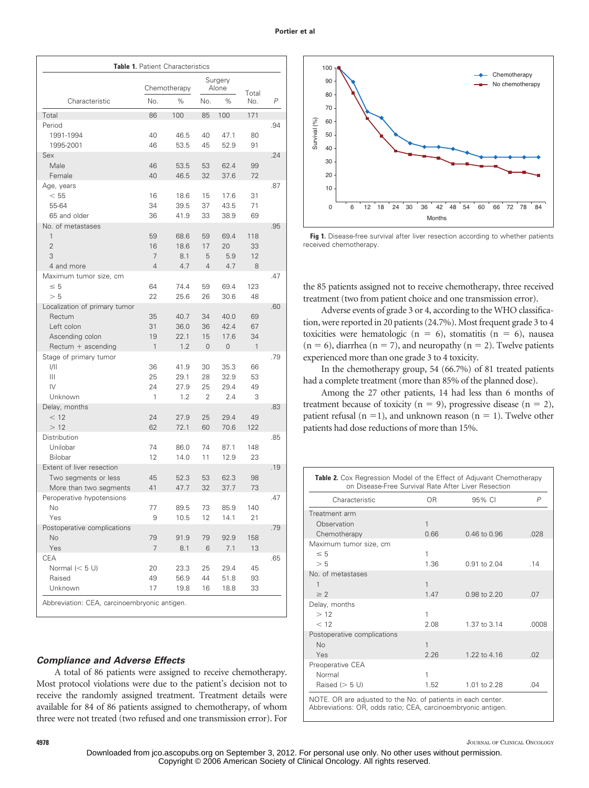|                                                                                                             |                      | Table 1. Patient Characteristics |                                  |                                        |                      |     |
|-------------------------------------------------------------------------------------------------------------|----------------------|----------------------------------|----------------------------------|----------------------------------------|----------------------|-----|
|                                                                                                             |                      | Chemotherapy                     | Surgery<br>Alone                 |                                        |                      |     |
| Characteristic                                                                                              | No.                  | $\%$                             | No.                              | $\%$                                   | Total<br>No.         | P   |
| Total                                                                                                       | 86                   | 100                              | 85                               | 100                                    | 171                  |     |
| Period<br>1991-1994<br>1995-2001                                                                            | 40<br>46             | 46.5<br>53.5                     | 40<br>45                         | 47.1<br>52.9                           | 80<br>91             | .94 |
| Sex<br>Male<br>Female                                                                                       | 46<br>40             | 53.5<br>46.5                     | 53<br>32                         | 62.4<br>37.6                           | 99<br>72             | .24 |
| Age, years<br>< 55<br>55-64<br>65 and older                                                                 | 16<br>34<br>36       | 18.6<br>39.5<br>41.9             | 15<br>37<br>33                   | 17.6<br>43.5<br>38.9                   | 31<br>71<br>69       | .87 |
| No. of metastases<br>1<br>$\overline{2}$<br>3<br>4 and more                                                 | 59<br>16<br>7<br>4   | 68.6<br>18.6<br>8.1<br>4.7       | 59<br>17<br>5<br>$\overline{4}$  | 69.4<br>20<br>5.9<br>4.7               | 118<br>33<br>12<br>8 | .95 |
| Maximum tumor size, cm<br>$\leq 5$<br>> 5                                                                   | 64<br>22             | 74.4<br>25.6                     | 59<br>26                         | 69.4<br>30.6                           | 123<br>48            | .47 |
| Localization of primary tumor<br>Rectum<br>Left colon<br>Ascending colon<br>Rectum + ascending              | 35<br>31<br>19<br>1  | 40.7<br>36.0<br>22.1<br>1.2      | 34<br>36<br>15<br>$\overline{0}$ | 40.0<br>42.4<br>17.6<br>$\overline{0}$ | 69<br>67<br>34<br>1  | .60 |
| Stage of primary tumor<br>1/11<br>Ш<br>$\mathsf{IV}$<br>Unknown                                             | 36<br>25<br>24<br>1  | 41.9<br>29.1<br>27.9<br>1.2      | 30<br>28<br>25<br>2              | 35.3<br>32.9<br>29.4<br>2.4            | 66<br>53<br>49<br>3  | .79 |
| Delay, months<br>< 12<br>>12                                                                                | 24<br>62             | 27.9<br>72.1                     | 25<br>60                         | 29.4<br>70.6                           | 49<br>122            | .83 |
| Distribution<br>Unilobar<br>Bilobar                                                                         | 74<br>12             | 86.0<br>14.0                     | 74<br>11                         | 87.1<br>12.9                           | 148<br>23            | .85 |
| Extent of liver resection<br>Two segments or less<br>More than two segments                                 | 45<br>41             | 52.3<br>47.7                     | 53<br>32                         | 62.3<br>37.7                           | 98<br>73             | .19 |
| Peroperative hypotensions<br>INO.<br>Yes                                                                    | 77<br>9              | 89.5<br>10.5                     | 73<br>12                         | 85.9<br>14.1                           | 140<br>21            | .47 |
| Postoperative complications<br>No<br>Yes                                                                    | 79<br>$\overline{7}$ | 91.9<br>8.1                      | 79<br>6                          | 92.9<br>7.1                            | 158<br>13            | .79 |
| <b>CEA</b><br>Normal $(< 5 \text{ U})$<br>Raised<br>Unknown<br>Abbreviation: CEA, carcinoembryonic antigen. | 20<br>49<br>17       | 23.3<br>56.9<br>19.8             | 25<br>44<br>16                   | 29.4<br>51.8<br>18.8                   | 45<br>93<br>33       | .65 |

## *Compliance and Adverse Effects*

A total of 86 patients were assigned to receive chemotherapy. Most protocol violations were due to the patient's decision not to receive the randomly assigned treatment. Treatment details were available for 84 of 86 patients assigned to chemotherapy, of whom three were not treated (two refused and one transmission error). For



Fig 1. Disease-free survival after liver resection according to whether patients received chemotherapy.

the 85 patients assigned not to receive chemotherapy, three received treatment (two from patient choice and one transmission error).

Adverse events of grade 3 or 4, according to the WHO classification, were reported in 20 patients (24.7%). Most frequent grade 3 to 4 toxicities were hematologic ( $n = 6$ ), stomatitis ( $n = 6$ ), nausea  $(n = 6)$ , diarrhea  $(n = 7)$ , and neuropathy  $(n = 2)$ . Twelve patients experienced more than one grade 3 to 4 toxicity.

In the chemotherapy group, 54 (66.7%) of 81 treated patients had a complete treatment (more than 85% of the planned dose).

Among the 27 other patients, 14 had less than 6 months of treatment because of toxicity ( $n = 9$ ), progressive disease ( $n = 2$ ), patient refusal ( $n = 1$ ), and unknown reason ( $n = 1$ ). Twelve other patients had dose reductions of more than 15%.

| <b>Table 2.</b> Cox Regression Model of the Effect of Adjuvant Chemotherapy<br>on Disease-Free Survival Rate After Liver Resection |                |              |                |
|------------------------------------------------------------------------------------------------------------------------------------|----------------|--------------|----------------|
| Characteristic                                                                                                                     | 0 <sub>R</sub> | 95% CI       | $\overline{P}$ |
| Treatment arm                                                                                                                      |                |              |                |
| Observation                                                                                                                        | 1              |              |                |
| Chemotherapy                                                                                                                       | 0.66           | 0.46 to 0.96 | .028           |
| Maximum tumor size, cm                                                                                                             |                |              |                |
| $\leq 5$                                                                                                                           | 1              |              |                |
| > 5                                                                                                                                | 1.36           | 0.91 to 2.04 | .14            |
| No. of metastases                                                                                                                  |                |              |                |
| 1                                                                                                                                  | 1              |              |                |
| $\geq$ 2                                                                                                                           | 1.47           | 0.98 to 2.20 | .07            |
| Delay, months                                                                                                                      |                |              |                |
| >12                                                                                                                                | 1              |              |                |
| < 12                                                                                                                               | 2.08           | 1.37 to 3.14 | .0008          |
| Postoperative complications                                                                                                        |                |              |                |
| <b>No</b>                                                                                                                          | 1              |              |                |
| Yes                                                                                                                                | 2.26           | 1.22 to 4.16 | .02            |
| Preoperative CEA                                                                                                                   |                |              |                |
| Normal                                                                                                                             | 1              |              |                |
| Raised $(> 5 U)$                                                                                                                   | 1.52           | 1.01 to 2.28 | .04            |
| NOTE. OR are adjusted to the No. of patients in each center.<br>Abbreviations: OR, odds ratio; CEA, carcinoembryonic antigen.      |                |              |                |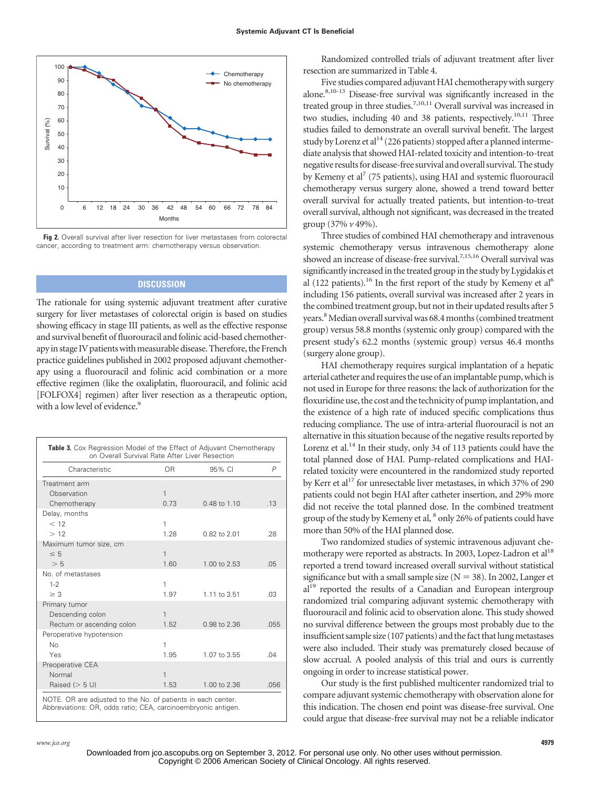

**Fig 2.** Overall survival after liver resection for liver metastases from colorectal cancer, according to treatment arm: chemotherapy versus observation.

# **DISCUSSION**

The rationale for using systemic adjuvant treatment after curative surgery for liver metastases of colorectal origin is based on studies showing efficacy in stage III patients, as well as the effective response and survival benefit of fluorouracil and folinic acid-based chemotherapy in stage IV patients with measurable disease. Therefore, the French practice guidelines published in 2002 proposed adjuvant chemotherapy using a fluorouracil and folinic acid combination or a more effective regimen (like the oxaliplatin, fluorouracil, and folinic acid [FOLFOX4] regimen) after liver resection as a therapeutic option, with a low level of evidence.<sup>9</sup>

| on Overall Survival Rate After Liver Resection |              |                  |              |
|------------------------------------------------|--------------|------------------|--------------|
| Characteristic                                 | OR.          | 95% CI           | $\mathsf{P}$ |
| Treatment arm                                  |              |                  |              |
| Observation                                    | 1            |                  |              |
| Chemotherapy                                   | 0.73         | $0.48$ to $1.10$ | .13          |
| Delay, months                                  |              |                  |              |
| < 12                                           | 1            |                  |              |
| >12                                            | 1.28         | 0.82 to 2.01     | .28          |
| Maximum tumor size, cm                         |              |                  |              |
| $\leq 5$                                       | $\mathbf{1}$ |                  |              |
| > 5                                            | 1.60         | 1.00 to 2.53     | .05          |
| No. of metastases                              |              |                  |              |
| $1 - 2$                                        | 1            |                  |              |
| $\geq$ 3                                       | 1.97         | 1.11 to 3.51     | .03          |
| Primary tumor                                  |              |                  |              |
| Descending colon                               | 1            |                  |              |
| Rectum or ascending colon                      | 1.52         | 0.98 to 2.36     | .055         |
| Peroperative hypotension                       |              |                  |              |
| No                                             | 1            |                  |              |
| Yes                                            | 1.95         | 1.07 to 3.55     | .04          |
| Preoperative CEA                               |              |                  |              |
| Normal                                         | $\mathbf{1}$ |                  |              |
| Raised $(> 5 U)$                               | 1.53         | 1.00 to 2.36     | .056         |

Randomized controlled trials of adjuvant treatment after liver resection are summarized in Table 4.

Five studies compared adjuvant HAI chemotherapy with surgery alone.8,10-13 Disease-free survival was significantly increased in the treated group in three studies.<sup>7,10,11</sup> Overall survival was increased in two studies, including 40 and 38 patients, respectively.<sup>10,11</sup> Three studies failed to demonstrate an overall survival benefit. The largest study by Lorenz et al<sup>14</sup> (226 patients) stopped after a planned intermediate analysis that showed HAI-related toxicity and intention-to-treat negative resultsfor disease-free survival and overall survival. The study by Kemeny et al<sup>7</sup> (75 patients), using HAI and systemic fluorouracil chemotherapy versus surgery alone, showed a trend toward better overall survival for actually treated patients, but intention-to-treat overall survival, although not significant, was decreased in the treated group (37% *v* 49%).

Three studies of combined HAI chemotherapy and intravenous systemic chemotherapy versus intravenous chemotherapy alone showed an increase of disease-free survival.<sup>7,15,16</sup> Overall survival was significantly increased in the treated group in the study by Lygidakis et al (122 patients).<sup>16</sup> In the first report of the study by Kemeny et al<sup>6</sup> including 156 patients, overall survival was increased after 2 years in the combined treatment group, but not in their updated results after 5 years.<sup>8</sup> Median overall survival was 68.4 months (combined treatment group) versus 58.8 months (systemic only group) compared with the present study's 62.2 months (systemic group) versus 46.4 months (surgery alone group).

HAI chemotherapy requires surgical implantation of a hepatic arterial catheter and requires the use of an implantable pump, which is not used in Europe for three reasons: the lack of authorization for the floxuridine use, the cost and the technicity of pump implantation, and the existence of a high rate of induced specific complications thus reducing compliance. The use of intra-arterial fluorouracil is not an alternative in this situation because of the negative results reported by Lorenz et al.<sup>14</sup> In their study, only 34 of 113 patients could have the total planned dose of HAI. Pump-related complications and HAIrelated toxicity were encountered in the randomized study reported by Kerr et al<sup>17</sup> for unresectable liver metastases, in which 37% of 290 patients could not begin HAI after catheter insertion, and 29% more did not receive the total planned dose. In the combined treatment group of the study by Kemeny et al,  $^8$  only 26% of patients could have more than 50% of the HAI planned dose.

Two randomized studies of systemic intravenous adjuvant chemotherapy were reported as abstracts. In 2003, Lopez-Ladron et al<sup>18</sup> reported a trend toward increased overall survival without statistical significance but with a small sample size ( $N = 38$ ). In 2002, Langer et al<sup>19</sup> reported the results of a Canadian and European intergroup randomized trial comparing adjuvant systemic chemotherapy with fluorouracil and folinic acid to observation alone. This study showed no survival difference between the groups most probably due to the insufficient sample size (107 patients) and the fact that lung metastases were also included. Their study was prematurely closed because of slow accrual. A pooled analysis of this trial and ours is currently ongoing in order to increase statistical power.

Our study is the first published multicenter randomized trial to compare adjuvant systemic chemotherapy with observation alone for this indication. The chosen end point was disease-free survival. One could argue that disease-free survival may not be a reliable indicator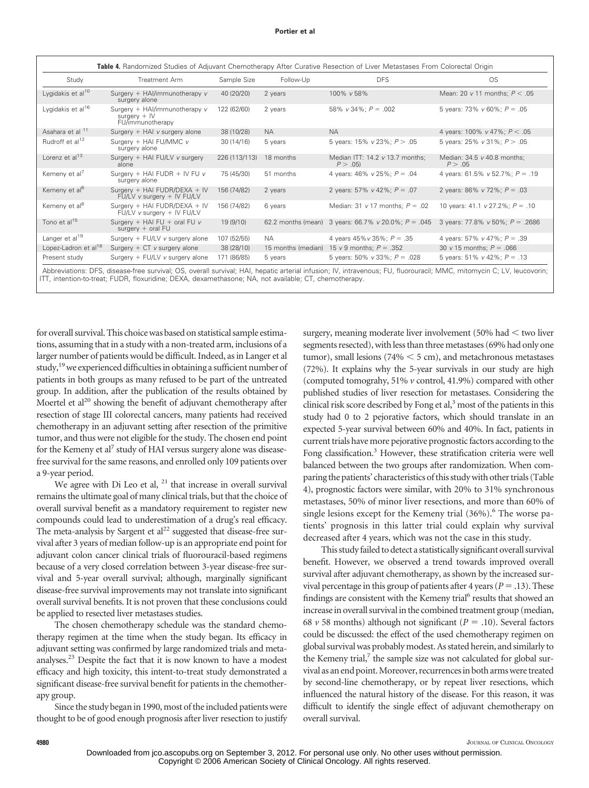| Study                            | Treatment Arm                                                       | Sample Size   | Follow-Up          | <b>DFS</b>                                                     | <b>OS</b>                              |
|----------------------------------|---------------------------------------------------------------------|---------------|--------------------|----------------------------------------------------------------|----------------------------------------|
| Lygidakis et al <sup>10</sup>    | Surgery + HAI/immunotherapy v<br>surgery alone                      | 40 (20/20)    | 2 years            | 100% v 58%                                                     | Mean: 20 $v$ 11 months; $P < .05$      |
| Lygidakis et al <sup>16</sup>    | Surgery + HAl/immunotherapy v<br>surgery $+$ IV<br>FU/immunotherapy | 122 (62/60)   | 2 years            | 58% $v$ 34%; $P = .002$                                        | 5 years: 73% $v$ 60%; $P = .05$        |
| Asahara et al <sup>11</sup>      | Surgery + HAI v surgery alone                                       | 38 (10/28)    | <b>NA</b>          | <b>NA</b>                                                      | 4 years: 100% v 47%; $P < .05$         |
| Rudroff et al <sup>12</sup>      | Surgery + HAI FU/MMC v<br>surgery alone                             | 30 (14/16)    | 5 years            | 5 years: 15% $v$ 23%; $P > .05$                                | 5 years: 25% $v$ 31%; $P > .05$        |
| Lorenz et al <sup>13</sup>       | Surgery + HAI FU/LV v surgery<br>alone                              | 226 (113/113) | 18 months          | Median ITT: $14.2 \text{ v } 13.7 \text{ months}$ ;<br>P > .05 | Median: 34.5 v 40.8 months;<br>P > .05 |
| Kemeny et al <sup>7</sup>        | Surgery + HAI FUDR + IV FU $v$<br>surgery alone                     | 75 (45/30)    | 51 months          | 4 years: $46\%$ v $25\%$ ; $P = .04$                           | 4 years: 61.5% $v$ 52.7%; $P = .19$    |
| Kemeny et al <sup>6</sup>        | Surgery + HAI FUDR/DEXA + IV<br>FU/LV v surgery + IV FU/LV          | 156 (74/82)   | 2 years            | 2 years: 57% v 42%; $P = .07$                                  | 2 years: 86% v 72%; $P = .03$          |
| Kemeny et al <sup>8</sup>        | Surgery + HAI FUDR/DEXA + IV<br>FU/LV v surgery + IV FU/LV          | 156 (74/82)   | 6 years            | Median: 31 $v$ 17 months; $P = .02$                            | 10 years: 41.1 v 27.2%; $P = .10$      |
| Tono et al <sup>15</sup>         | Surgery + HAI FU + oral FU $v$<br>surgery $+$ oral FU               | 19 (9/10)     |                    | 62.2 months (mean) 3 years: 66.7% v 20.0%; $P = .045$          | 3 years: 77.8% $v$ 50%; $P = .2686$    |
| Langer et al <sup>19</sup>       | Surgery + FU/LV v surgery alone                                     | 107 (52/55)   | <b>NA</b>          | 4 years $45\%v35\%$ ; $P = .35$                                | 4 years: 57% v 47%; $P = .39$          |
| Lopez-Ladron et al <sup>18</sup> | Surgery + CT v surgery alone                                        | 38 (28/10)    | 15 months (median) | 15 v 9 months; $P = .352$                                      | 30 v 15 months; $P = .066$             |
| Present study                    | Surgery + FU/LV v surgery alone                                     | 171 (86/85)   | 5 years            | 5 years: 50% $v$ 33%; $P = .028$                               | 5 years: 51% $v$ 42%; $P = .13$        |

Abbreviations: DFS, disease-free survival; OS, overall survival; HAI, hepatic arterial infusion; IV, intravenous; FU, fluorouracil; MMC, mitomycin C; LV, leucovorin; ITT, intention-to-treat; FUDR, floxuridine; DEXA, dexamethasone; NA, not available; CT, chemotherapy.

for overall survival. This choice was based on statistical sample estimations, assuming that in a study with a non-treated arm, inclusions of a larger number of patients would be difficult. Indeed, as in Langer et al study,  $19$  we experienced difficulties in obtaining a sufficient number of patients in both groups as many refused to be part of the untreated group. In addition, after the publication of the results obtained by Moertel et al<sup>20</sup> showing the benefit of adjuvant chemotherapy after resection of stage III colorectal cancers, many patients had received chemotherapy in an adjuvant setting after resection of the primitive tumor, and thus were not eligible for the study. The chosen end point for the Kemeny et al<sup>7</sup> study of HAI versus surgery alone was diseasefree survival for the same reasons, and enrolled only 109 patients over a 9-year period.

We agree with  $Di$  Leo et al,  $21$  that increase in overall survival remains the ultimate goal of many clinical trials, but that the choice of overall survival benefit as a mandatory requirement to register new compounds could lead to underestimation of a drug's real efficacy. The meta-analysis by Sargent et  $al<sup>22</sup>$  suggested that disease-free survival after 3 years of median follow-up is an appropriate end point for adjuvant colon cancer clinical trials of fluorouracil-based regimens because of a very closed correlation between 3-year disease-free survival and 5-year overall survival; although, marginally significant disease-free survival improvements may not translate into significant overall survival benefits. It is not proven that these conclusions could be applied to resected liver metastases studies.

The chosen chemotherapy schedule was the standard chemotherapy regimen at the time when the study began. Its efficacy in adjuvant setting was confirmed by large randomized trials and metaanalyses.23 Despite the fact that it is now known to have a modest efficacy and high toxicity, this intent-to-treat study demonstrated a significant disease-free survival benefit for patients in the chemotherapy group.

Since the study began in 1990, most of the included patients were thought to be of good enough prognosis after liver resection to justify surgery, meaning moderate liver involvement  $(50\%$  had  $<$  two liver segments resected), with less than three metastases (69% had only one tumor), small lesions (74%  $<$  5 cm), and metachronous metastases (72%). It explains why the 5-year survivals in our study are high (computed tomograhy, 51% *v* control, 41.9%) compared with other published studies of liver resection for metastases. Considering the clinical risk score described by Fong et al, $3$  most of the patients in this study had 0 to 2 pejorative factors, which should translate in an expected 5-year survival between 60% and 40%. In fact, patients in current trials have more pejorative prognostic factors according to the Fong classification.<sup>3</sup> However, these stratification criteria were well balanced between the two groups after randomization. When comparing the patients' characteristics of this study with other trials (Table 4), prognostic factors were similar, with 20% to 31% synchronous metastases, 50% of minor liver resections, and more than 60% of single lesions except for the Kemeny trial  $(36\%)$ . The worse patients' prognosis in this latter trial could explain why survival decreased after 4 years, which was not the case in this study.

This study failed to detect a statistically significant overall survival benefit. However, we observed a trend towards improved overall survival after adjuvant chemotherapy, as shown by the increased survival percentage in this group of patients after 4 years ( $P = .13$ ). These findings are consistent with the Kemeny trial<sup>6</sup> results that showed an increase in overall survival in the combined treatment group (median, 68  $\nu$  58 months) although not significant ( $P = .10$ ). Several factors could be discussed: the effect of the used chemotherapy regimen on global survival was probably modest. As stated herein, and similarly to the Kemeny trial, $^7$  the sample size was not calculated for global survival as an end point.Moreover, recurrencesin both armswere treated by second-line chemotherapy, or by repeat liver resections, which influenced the natural history of the disease. For this reason, it was difficult to identify the single effect of adjuvant chemotherapy on overall survival.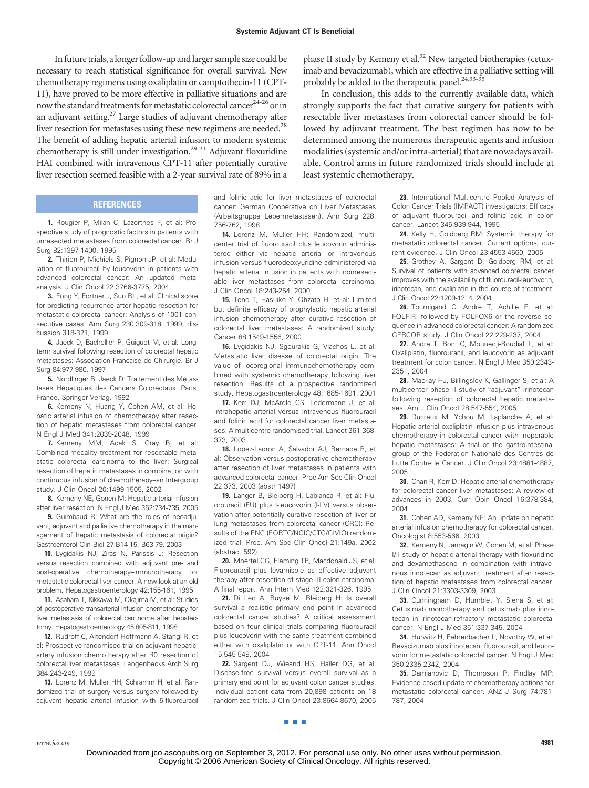In future trials, a longer follow-up and larger sample size could be necessary to reach statistical significance for overall survival. New chemotherapy regimens using oxaliplatin or camptothecin-11 (CPT-11), have proved to be more effective in palliative situations and are now the standard treatments for metastatic colorectal cancer<sup>24-26</sup> or in an adjuvant setting.<sup>27</sup> Large studies of adjuvant chemotherapy after liver resection for metastases using these new regimens are needed.<sup>28</sup> The benefit of adding hepatic arterial infusion to modern systemic chemotherapy is still under investigation.29-31 Adjuvant floxuridine HAI combined with intravenous CPT-11 after potentially curative liver resection seemed feasible with a 2-year survival rate of 89% in a

## **REFERENCES**

**1.** Rougier P, Milan C, Lazorthes F, et al: Prospective study of prognostic factors in patients with unresected metastases from colorectal cancer. Br J Surg 82:1397-1400, 1995

**2.** Thirion P, Michiels S, Pignon JP, et al: Modulation of fluorouracil by leucovorin in patients with advanced colorectal cancer: An updated metaanalysis. J Clin Oncol 22:3766-3775, 2004

**3.** Fong Y, Fortner J, Sun RL, et al: Clinical score for predicting recurrence after hepatic resection for metastatic colorectal cancer: Analysis of 1001 consecutive cases. Ann Surg 230:309-318, 1999; discussion 318-321, 1999

**4.** Jaeck D, Bachellier P, Guiguet M, et al: Longterm survival following resection of colorectal hepatic metastases: Association Francaise de Chirurgie. Br J Surg 84:977-980, 1997

**5.** Nordlinger B, Jaeck D: Traitement des Métastases Hépatiques des Cancers Colorectaux. Paris, France, Springer-Verlag, 1992

**6.** Kemeny N, Huang Y, Cohen AM, et al: Hepatic arterial infusion of chemotherapy after resection of hepatic metastases from colorectal cancer. N Engl J Med 341:2039-2048, 1999

**7.** Kemeny MM, Adak S, Gray B, et al: Combined-modality treatment for resectable metastatic colorectal carcinoma to the liver: Surgical resection of hepatic metastases in combination with continuous infusion of chemotherapy–an Intergroup study. J Clin Oncol 20:1499-1505, 2002

**8.** Kemeny NE, Gonen M: Hepatic arterial infusion after liver resection. N Engl J Med 352:734-735, 2005

**9.** Guimbaud R: What are the roles of neoadjuvant, adjuvant and palliative chemotherapy in the management of hepatic metastasis of colorectal origin? Gastroenterol Clin Biol 27:B14-15, B63-79, 2003

**10.** Lygidakis NJ, Ziras N, Parissis J: Resection versus resection combined with adjuvant pre- and post-operative chemotherapy–immunotherapy for metastatic colorectal liver cancer. A new look at an old problem. Hepatogastroenterology 42:155-161, 1995

**11.** Asahara T, Kikkawa M, Okajima M, et al: Studies of postoperative transarterial infusion chemotherapy for liver metastasis of colorectal carcinoma after hepatectomy. Hepatogastroenterology 45:805-811, 1998

**12.** Rudroff C, Altendorf-Hoffmann A, Stangl R, et al: Prospective randomised trial on adjuvant hepaticartery infusion chemotherapy after R0 resection of colorectal liver metastases. Langenbecks Arch Surg 384:243-249, 1999

**13.** Lorenz M, Muller HH, Schramm H, et al: Randomized trial of surgery versus surgery followed by adjuvant hepatic arterial infusion with 5-fluorouracil and folinic acid for liver metastases of colorectal cancer: German Cooperative on Liver Metastases (Arbeitsgruppe Lebermetastasen). Ann Surg 228: 756-762, 1998

**14.** Lorenz M, Muller HH: Randomized, multicenter trial of fluorouracil plus leucovorin administered either via hepatic arterial or intravenous infusion versus fluorodeoxyuridine administered via hepatic arterial infusion in patients with nonresectable liver metastases from colorectal carcinoma. J Clin Oncol 18:243-254, 2000

**15.** Tono T, Hasuike Y, Ohzato H, et al: Limited but definite efficacy of prophylactic hepatic arterial infusion chemotherapy after curative resection of colorectal liver metastases: A randomized study. Cancer 88:1549-1556, 2000

**16.** Lygidakis NJ, Sgourakis G, Vlachos L, et al: Metastatic liver disease of colorectal origin: The value of locoregional immunochemotherapy combined with systemic chemotherapy following liver resection: Results of a prospective randomized study. Hepatogastroenterology 48:1685-1691, 2001

**17.** Kerr DJ, McArdle CS, Ledermann J, et al: Intrahepatic arterial versus intravenous fluorouracil and folinic acid for colorectal cancer liver metastases: A multicentre randomised trial. Lancet 361:368- 373, 2003

**18.** Lopez-Ladron A, Salvador AJ, Bernabe R, et al: Observation versus postoperative chemotherapy after resection of liver metastases in patients with advanced colorectal cancer. Proc Am Soc Clin Oncol 22:373, 2003 (abstr 1497)

**19.** Langer B, Bleiberg H, Labianca R, et al: Fluorouracil (FU) plus l-leucovorin (l-LV) versus observation after potentially curative resection of liver or lung metastases from colorectal cancer (CRC): Results of the ENG (EORTC/NCIC/CTG/GIVIO) randomized trial. Proc. Am Soc Clin Oncol 21:149a, 2002 (abstract 592)

**20.** Moertel CG, Fleming TR, Macdonald JS, et al: Fluorouracil plus levamisole as effective adjuvant therapy after resection of stage III colon carcinoma: A final report. Ann Intern Med 122:321-326, 1995

**21.** Di Leo A, Buyse M, Bleiberg H: Is overall survival a realistic primary end point in advanced colorectal cancer studies? A critical assessment based on four clinical trials comparing fluorouracil plus leucovorin with the same treatment combined either with oxaliplatin or with CPT-11. Ann Oncol 15:545-549, 2004

**22.** Sargent DJ, Wieand HS, Haller DG, et al: Disease-free survival versus overall survival as a primary end point for adjuvant colon cancer studies: Individual patient data from 20,898 patients on 18 randomized trials. J Clin Oncol 23:8664-8670, 2005

■■■

phase II study by Kemeny et al.<sup>32</sup> New targeted biotherapies (cetuximab and bevacizumab), which are effective in a palliative setting will probably be added to the therapeutic panel.<sup>24,33-35</sup>

In conclusion, this adds to the currently available data, which strongly supports the fact that curative surgery for patients with resectable liver metastases from colorectal cancer should be followed by adjuvant treatment. The best regimen has now to be determined among the numerous therapeutic agents and infusion modalities (systemic and/or intra-arterial) that are nowadays available. Control arms in future randomized trials should include at least systemic chemotherapy.

> **23.** International Multicentre Pooled Analysis of Colon Cancer Trials (IMPACT) investigators: Efficacy of adjuvant fluorouracil and folinic acid in colon cancer. Lancet 345:939-944, 1995

> **24.** Kelly H, Goldberg RM: Systemic therapy for metastatic colorectal cancer: Current options, current evidence. J Clin Oncol 23:4553-4560, 2005

> **25.** Grothey A, Sargent D, Goldberg RM, et al: Survival of patients with advanced colorectal cancer improves with the availability of fluorouracil-leucovorin, irinotecan, and oxaliplatin in the course of treatment. J Clin Oncol 22:1209-1214, 2004

> **26.** Tournigand C, Andre T, Achille E, et al: FOLFIRI followed by FOLFOX6 or the reverse sequence in advanced colorectal cancer: A randomized GERCOR study. J Clin Oncol 22:229-237, 2004

> **27.** Andre T, Boni C, Mounedji-Boudiaf L, et al: Oxaliplatin, fluorouracil, and leucovorin as adjuvant treatment for colon cancer. N Engl J Med 350:2343- 2351, 2004

> **28.** Mackay HJ, Billingsley K, Gallinger S, et al: A multicenter phase II study of "adjuvant" irinotecan following resection of colorectal hepatic metastases. Am J Clin Oncol 28:547-554, 2005

> **29.** Ducreux M, Ychou M, Laplanche A, et al: Hepatic arterial oxaliplatin infusion plus intravenous chemotherapy in colorectal cancer with inoperable hepatic metastases: A trial of the gastrointestinal group of the Federation Nationale des Centres de Lutte Contre le Cancer. J Clin Oncol 23:4881-4887, 2005

> **30.** Chan R, Kerr D: Hepatic arterial chemotherapy for colorectal cancer liver metastases: A review of advances in 2003. Curr Opin Oncol 16:378-384, 2004

> **31.** Cohen AD, Kemeny NE: An update on hepatic arterial infusion chemotherapy for colorectal cancer. Oncologist 8:553-566, 2003

> **32.** Kemeny N, Jarnagin W, Gonen M, et al: Phase I/II study of hepatic arterial therapy with floxuridine and dexamethasone in combination with intravenous irinotecan as adjuvant treatment after resection of hepatic metastases from colorectal cancer. J Clin Oncol 21:3303-3309, 2003

> **33.** Cunningham D, Humblet Y, Siena S, et al: Cetuximab monotherapy and cetuximab plus irinotecan in irinotecan-refractory metastatic colorectal cancer. N Engl J Med 351:337-345, 2004

> **34.** Hurwitz H, Fehrenbacher L, Novotny W, et al: Bevacizumab plus irinotecan, fluorouracil, and leucovorin for metastatic colorectal cancer. N Engl J Med 350:2335-2342, 2004

> **35.** Damjanovic D, Thompson P, Findlay MP: Evidence-based update of chemotherapy options for metastatic colorectal cancer. ANZ J Surg 74:781- 787, 2004